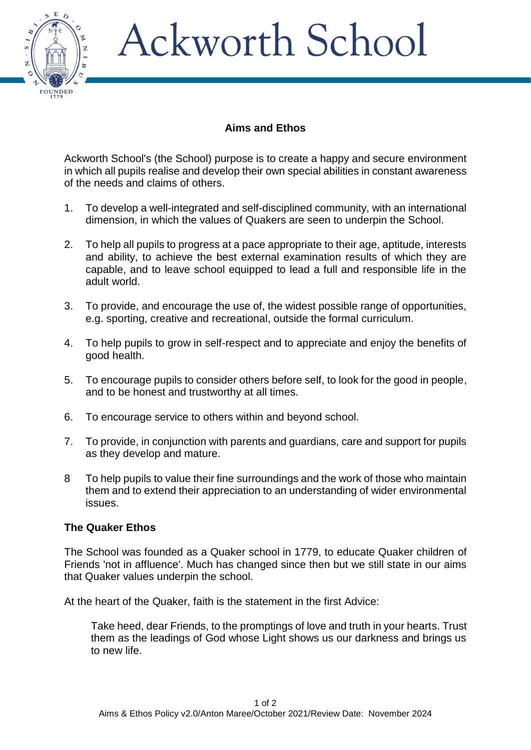

## Ackworth School

## **Aims and Ethos**

Ackworth School's (the School) purpose is to create a happy and secure environment in which all pupils realise and develop their own special abilities in constant awareness of the needs and claims of others.

- 1. To develop a well-integrated and self-disciplined community, with an international dimension, in which the values of Quakers are seen to underpin the School.
- 2. To help all pupils to progress at a pace appropriate to their age, aptitude, interests and ability, to achieve the best external examination results of which they are capable, and to leave school equipped to lead a full and responsible life in the adult world.
- 3. To provide, and encourage the use of, the widest possible range of opportunities, e.g. sporting, creative and recreational, outside the formal curriculum.
- 4. To help pupils to grow in self-respect and to appreciate and enjoy the benefits of good health.
- 5. To encourage pupils to consider others before self, to look for the good in people, and to be honest and trustworthy at all times.
- 6. To encourage service to others within and beyond school.
- 7. To provide, in conjunction with parents and guardians, care and support for pupils as they develop and mature.
- 8 To help pupils to value their fine surroundings and the work of those who maintain them and to extend their appreciation to an understanding of wider environmental issues.

## **The Quaker Ethos**

The School was founded as a Quaker school in 1779, to educate Quaker children of Friends 'not in affluence'. Much has changed since then but we still state in our aims that Quaker values underpin the school.

At the heart of the Quaker, faith is the statement in the first Advice:

Take heed, dear Friends, to the promptings of love and truth in your hearts. Trust them as the leadings of God whose Light shows us our darkness and brings us to new life.